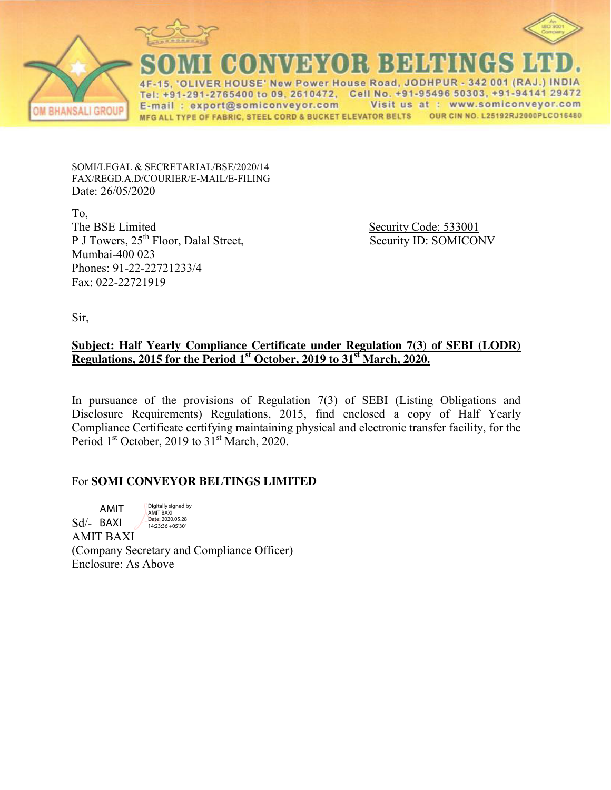



ER HOUSE' New Power House Road, JODHPUR - 342 001 (RAJ Tel: +91-291-2765400 to 09, 2610472, Cell No. +91-95496 50303, +91-94141 29472 E-mail: export@somiconveyor.com Visit us at : www.somiconveyor.com MFG ALL TYPE OF FABRIC, STEEL CORD & BUCKET ELEVATOR BELTS OUR CIN NO. L25192RJ2000PLCO16480

SOMI/LEGAL & SECRETARIAL/BSE/2020/14 FAX/REGD.A.D/COURIER/E-MAIL/E-FILING Date: 26/05/2020

To, The BSE Limited Security Code: 533001 P J Towers, 25<sup>th</sup> Floor, Dalal Street, Security ID: SOMICONV Mumbai-400 023 Phones: 91-22-22721233/4 Fax: 022-22721919

Sir,

## **Subject: Half Yearly Compliance Certificate under Regulation 7(3) of SEBI (LODR) Regulations, 2015 for the Period 1<sup>st</sup> October, 2019 to 31<sup>st</sup> March, 2020.**

In pursuance of the provisions of Regulation 7(3) of SEBI (Listing Obligations and Disclosure Requirements) Regulations, 2015, find enclosed a copy of Half Yearly Compliance Certificate certifying maintaining physical and electronic transfer facility, for the Period  $1<sup>st</sup>$  October, 2019 to  $31<sup>st</sup>$  March, 2020.

## For **SOMI CONVEYOR BELTINGS LIMITED**

Sd/- BAXI AMIT BAXI (Company Secretary and Compliance Officer) Enclosure: As Above AMIT Digitally signed by AMIT BAXI Date: 2020.05.28 14:23:36 +05'30'